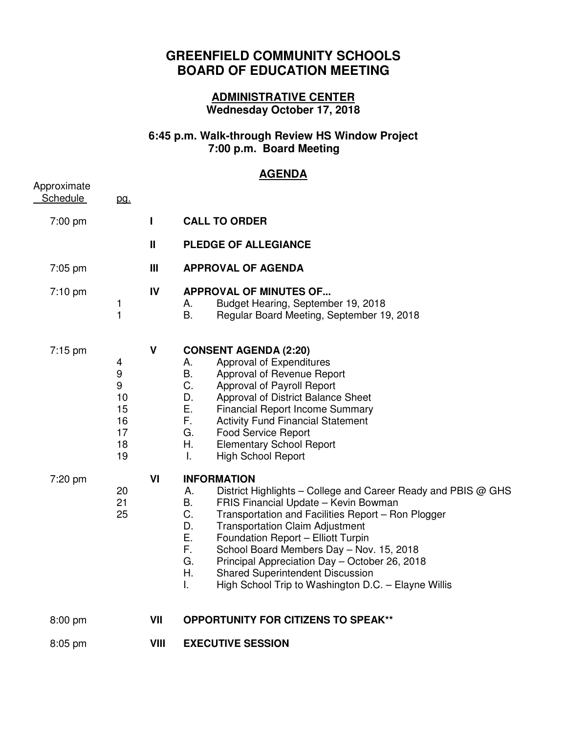## **GREENFIELD COMMUNITY SCHOOLS BOARD OF EDUCATION MEETING**

## **ADMINISTRATIVE CENTER Wednesday October 17, 2018**

## **6:45 p.m. Walk-through Review HS Window Project 7:00 p.m. Board Meeting**

## **AGENDA**

| Approximate     |                                                 |              |                                                                                                                                                                                                                                                                                                                                                                                                                                                                                                                        |
|-----------------|-------------------------------------------------|--------------|------------------------------------------------------------------------------------------------------------------------------------------------------------------------------------------------------------------------------------------------------------------------------------------------------------------------------------------------------------------------------------------------------------------------------------------------------------------------------------------------------------------------|
| <b>Schedule</b> | <u>pg.</u>                                      |              |                                                                                                                                                                                                                                                                                                                                                                                                                                                                                                                        |
| 7:00 pm         |                                                 | L            | <b>CALL TO ORDER</b>                                                                                                                                                                                                                                                                                                                                                                                                                                                                                                   |
|                 |                                                 | $\mathbf{I}$ | PLEDGE OF ALLEGIANCE                                                                                                                                                                                                                                                                                                                                                                                                                                                                                                   |
| $7:05$ pm       |                                                 | Ш            | <b>APPROVAL OF AGENDA</b>                                                                                                                                                                                                                                                                                                                                                                                                                                                                                              |
| $7:10$ pm       | 1<br>$\mathbf{1}$                               | IV           | <b>APPROVAL OF MINUTES OF</b><br>Budget Hearing, September 19, 2018<br>А.<br>В.<br>Regular Board Meeting, September 19, 2018                                                                                                                                                                                                                                                                                                                                                                                           |
| 7:15 pm         | 4<br>9<br>9<br>10<br>15<br>16<br>17<br>18<br>19 | V            | <b>CONSENT AGENDA (2:20)</b><br>Approval of Expenditures<br>А.<br>В.<br>Approval of Revenue Report<br>C.<br>Approval of Payroll Report<br>D.<br>Approval of District Balance Sheet<br>Е.<br><b>Financial Report Income Summary</b><br>F.<br><b>Activity Fund Financial Statement</b><br>G.<br><b>Food Service Report</b><br>Η.<br><b>Elementary School Report</b><br>Τ.<br><b>High School Report</b>                                                                                                                   |
| 7:20 pm         | 20<br>21<br>25                                  | VI           | <b>INFORMATION</b><br>Α.<br>District Highlights – College and Career Ready and PBIS @ GHS<br>В.<br>FRIS Financial Update - Kevin Bowman<br>C.<br>Transportation and Facilities Report - Ron Plogger<br>D.<br><b>Transportation Claim Adjustment</b><br>Ε.<br>Foundation Report - Elliott Turpin<br>F.<br>School Board Members Day - Nov. 15, 2018<br>G.<br>Principal Appreciation Day - October 26, 2018<br>Η.<br><b>Shared Superintendent Discussion</b><br>I.<br>High School Trip to Washington D.C. - Elayne Willis |
| 8:00 pm         |                                                 | VII          | <b>OPPORTUNITY FOR CITIZENS TO SPEAK**</b>                                                                                                                                                                                                                                                                                                                                                                                                                                                                             |
| 8:05 pm         |                                                 | VIII         | <b>EXECUTIVE SESSION</b>                                                                                                                                                                                                                                                                                                                                                                                                                                                                                               |